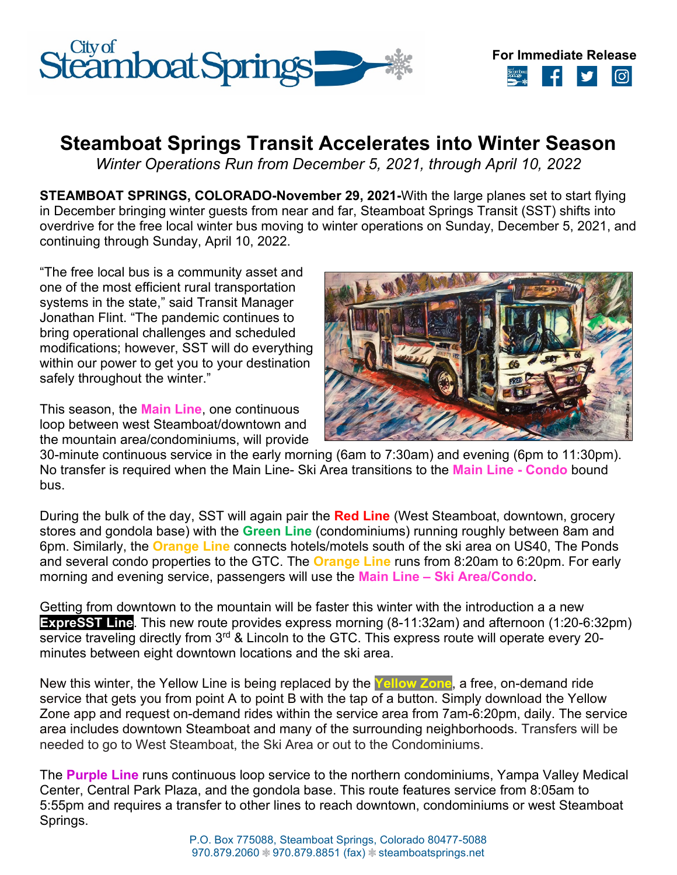



## **Steamboat Springs Transit Accelerates into Winter Season**

*Winter Operations Run from December 5, 2021, through April 10, 2022*

**STEAMBOAT SPRINGS, COLORADO-November 29, 2021-**With the large planes set to start flying in December bringing winter guests from near and far, Steamboat Springs Transit (SST) shifts into overdrive for the free local winter bus moving to winter operations on Sunday, December 5, 2021, and continuing through Sunday, April 10, 2022.

"The free local bus is a community asset and one of the most efficient rural transportation systems in the state," said Transit Manager Jonathan Flint. "The pandemic continues to bring operational challenges and scheduled modifications; however, SST will do everything within our power to get you to your destination safely throughout the winter."

This season, the **Main Line**, one continuous loop between west Steamboat/downtown and the mountain area/condominiums, will provide



30-minute continuous service in the early morning (6am to 7:30am) and evening (6pm to 11:30pm). No transfer is required when the Main Line- Ski Area transitions to the **Main Line - Condo** bound bus.

During the bulk of the day, SST will again pair the **Red Line** (West Steamboat, downtown, grocery stores and gondola base) with the **Green Line** (condominiums) running roughly between 8am and 6pm. Similarly, the **Orange Line** connects hotels/motels south of the ski area on US40, The Ponds and several condo properties to the GTC. The **Orange Line** runs from 8:20am to 6:20pm. For early morning and evening service, passengers will use the **Main Line – Ski Area/Condo**.

Getting from downtown to the mountain will be faster this winter with the introduction a a new **ExpreSST Line**. This new route provides express morning (8-11:32am) and afternoon (1:20-6:32pm) service traveling directly from 3<sup>rd</sup> & Lincoln to the GTC. This express route will operate every 20minutes between eight downtown locations and the ski area.

New this winter, the Yellow Line is being replaced by the **Yellow Zone**, a free, on-demand ride service that gets you from point A to point B with the tap of a button. Simply download the Yellow Zone app and request on-demand rides within the service area from 7am-6:20pm, daily. The service area includes downtown Steamboat and many of the surrounding neighborhoods. Transfers will be needed to go to West Steamboat, the Ski Area or out to the Condominiums.

The **Purple Line** runs continuous loop service to the northern condominiums, Yampa Valley Medical Center, Central Park Plaza, and the gondola base. This route features service from 8:05am to 5:55pm and requires a transfer to other lines to reach downtown, condominiums or west Steamboat Springs.